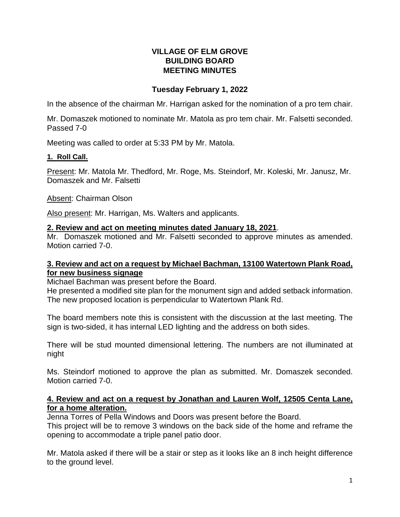## **VILLAGE OF ELM GROVE BUILDING BOARD MEETING MINUTES**

## **Tuesday February 1, 2022**

In the absence of the chairman Mr. Harrigan asked for the nomination of a pro tem chair.

Mr. Domaszek motioned to nominate Mr. Matola as pro tem chair. Mr. Falsetti seconded. Passed 7-0

Meeting was called to order at 5:33 PM by Mr. Matola.

### **1. Roll Call.**

Present: Mr. Matola Mr. Thedford, Mr. Roge, Ms. Steindorf, Mr. Koleski, Mr. Janusz, Mr. Domaszek and Mr. Falsetti

Absent: Chairman Olson

Also present: Mr. Harrigan, Ms. Walters and applicants.

### **2. Review and act on meeting minutes dated January 18, 2021**.

Mr. Domaszek motioned and Mr. Falsetti seconded to approve minutes as amended. Motion carried 7-0.

### **3. Review and act on a request by Michael Bachman, 13100 Watertown Plank Road, for new business signage**

Michael Bachman was present before the Board.

He presented a modified site plan for the monument sign and added setback information. The new proposed location is perpendicular to Watertown Plank Rd.

The board members note this is consistent with the discussion at the last meeting. The sign is two-sided, it has internal LED lighting and the address on both sides.

There will be stud mounted dimensional lettering. The numbers are not illuminated at night

Ms. Steindorf motioned to approve the plan as submitted. Mr. Domaszek seconded. Motion carried 7-0.

### **4. Review and act on a request by Jonathan and Lauren Wolf, 12505 Centa Lane, for a home alteration.**

Jenna Torres of Pella Windows and Doors was present before the Board.

This project will be to remove 3 windows on the back side of the home and reframe the opening to accommodate a triple panel patio door.

Mr. Matola asked if there will be a stair or step as it looks like an 8 inch height difference to the ground level.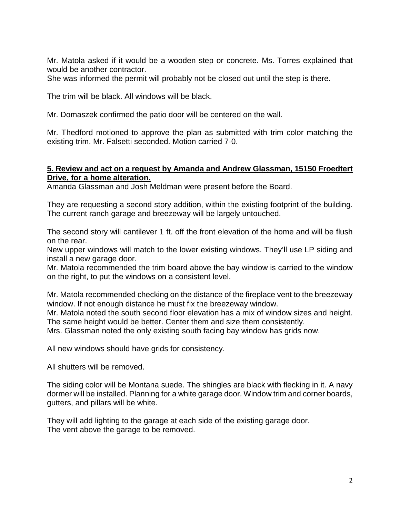Mr. Matola asked if it would be a wooden step or concrete. Ms. Torres explained that would be another contractor.

She was informed the permit will probably not be closed out until the step is there.

The trim will be black. All windows will be black.

Mr. Domaszek confirmed the patio door will be centered on the wall.

Mr. Thedford motioned to approve the plan as submitted with trim color matching the existing trim. Mr. Falsetti seconded. Motion carried 7-0.

#### **5. Review and act on a request by Amanda and Andrew Glassman, 15150 Froedtert Drive, for a home alteration.**

Amanda Glassman and Josh Meldman were present before the Board.

They are requesting a second story addition, within the existing footprint of the building. The current ranch garage and breezeway will be largely untouched.

The second story will cantilever 1 ft. off the front elevation of the home and will be flush on the rear.

New upper windows will match to the lower existing windows. They'll use LP siding and install a new garage door.

Mr. Matola recommended the trim board above the bay window is carried to the window on the right, to put the windows on a consistent level.

Mr. Matola recommended checking on the distance of the fireplace vent to the breezeway window. If not enough distance he must fix the breezeway window.

Mr. Matola noted the south second floor elevation has a mix of window sizes and height. The same height would be better. Center them and size them consistently.

Mrs. Glassman noted the only existing south facing bay window has grids now.

All new windows should have grids for consistency.

All shutters will be removed.

The siding color will be Montana suede. The shingles are black with flecking in it. A navy dormer will be installed. Planning for a white garage door. Window trim and corner boards, gutters, and pillars will be white.

They will add lighting to the garage at each side of the existing garage door. The vent above the garage to be removed.